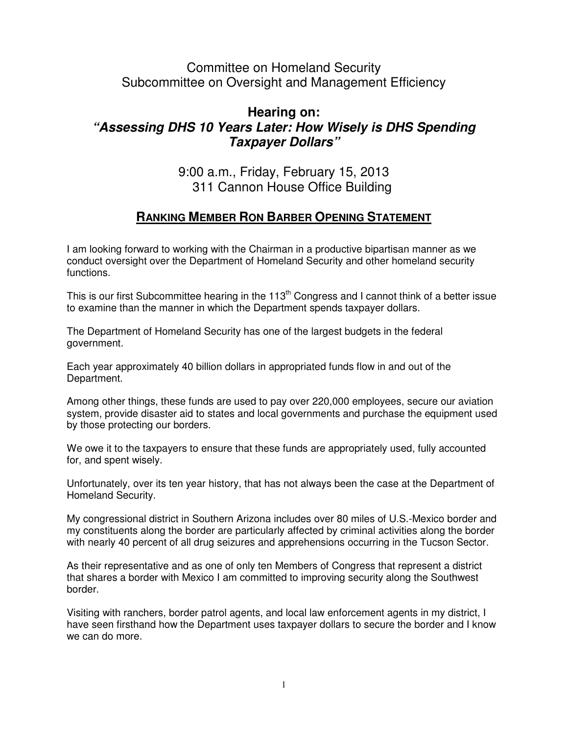## Committee on Homeland Security Subcommittee on Oversight and Management Efficiency

## **Hearing on: "Assessing DHS 10 Years Later: How Wisely is DHS Spending Taxpayer Dollars"**

9:00 a.m., Friday, February 15, 2013 311 Cannon House Office Building

## **RANKING MEMBER RON BARBER OPENING STATEMENT**

I am looking forward to working with the Chairman in a productive bipartisan manner as we conduct oversight over the Department of Homeland Security and other homeland security functions.

This is our first Subcommittee hearing in the 113<sup>th</sup> Congress and I cannot think of a better issue to examine than the manner in which the Department spends taxpayer dollars.

The Department of Homeland Security has one of the largest budgets in the federal government.

Each year approximately 40 billion dollars in appropriated funds flow in and out of the Department.

Among other things, these funds are used to pay over 220,000 employees, secure our aviation system, provide disaster aid to states and local governments and purchase the equipment used by those protecting our borders.

We owe it to the taxpayers to ensure that these funds are appropriately used, fully accounted for, and spent wisely.

Unfortunately, over its ten year history, that has not always been the case at the Department of Homeland Security.

My congressional district in Southern Arizona includes over 80 miles of U.S.-Mexico border and my constituents along the border are particularly affected by criminal activities along the border with nearly 40 percent of all drug seizures and apprehensions occurring in the Tucson Sector.

As their representative and as one of only ten Members of Congress that represent a district that shares a border with Mexico I am committed to improving security along the Southwest border.

Visiting with ranchers, border patrol agents, and local law enforcement agents in my district, I have seen firsthand how the Department uses taxpayer dollars to secure the border and I know we can do more.